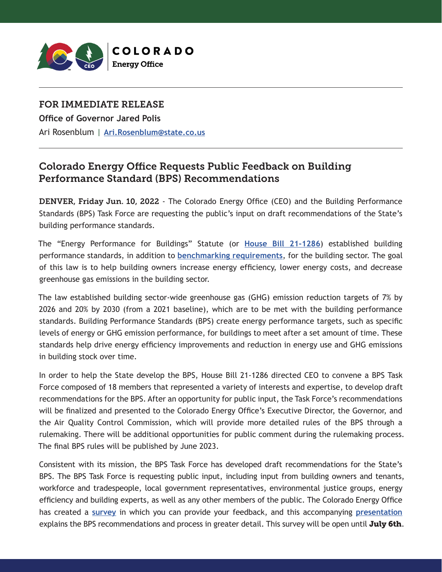

## FOR IMMEDIATE RELEASE

**Office of Governor Jared Polis** Ari Rosenblum | **[Ari.Rosenblum@state.co.us](mailto:Ari.Rosenblum%40state.co.us?subject=)**

## Colorado Energy Office Requests Public Feedback on Building Performance Standard (BPS) Recommendations

DENVER, Friday Jun. 10, 2022 - The Colorado Energy Office (CEO) and the Building Performance Standards (BPS) Task Force are requesting the public's input on draft recommendations of the State's building performance standards.

The "Energy Performance for Buildings" Statute (or **[House Bill 21-1286](https://leg.colorado.gov/bills/hb21-1286#:~:text=The%20act%20establishes%20a%20process,by%20the%20covered%20building%20owner.)**) established building performance standards, in addition to **[benchmarking requirements](https://energyoffice.colorado.gov/sites/energyoffice/files/documents/CEO%20Benchmarking%20Press%20Release%20040122_0.pdf)**, for the building sector. The goal of this law is to help building owners increase energy efficiency, lower energy costs, and decrease greenhouse gas emissions in the building sector.

The law established building sector-wide greenhouse gas (GHG) emission reduction targets of 7% by 2026 and 20% by 2030 (from a 2021 baseline), which are to be met with the building performance standards. Building Performance Standards (BPS) create energy performance targets, such as specific levels of energy or GHG emission performance, for buildings to meet after a set amount of time. These standards help drive energy efficiency improvements and reduction in energy use and GHG emissions in building stock over time.

In order to help the State develop the BPS, House Bill 21-1286 directed CEO to convene a BPS Task Force composed of 18 members that represented a variety of interests and expertise, to develop draft recommendations for the BPS. After an opportunity for public input, the Task Force's recommendations will be finalized and presented to the Colorado Energy Office's Executive Director, the Governor, and the Air Quality Control Commission, which will provide more detailed rules of the BPS through a rulemaking. There will be additional opportunities for public comment during the rulemaking process. The final BPS rules will be published by June 2023.

Consistent with its mission, the BPS Task Force has developed draft recommendations for the State's BPS. The BPS Task Force is requesting public input, including input from building owners and tenants, workforce and tradespeople, local government representatives, environmental justice groups, energy efficiency and building experts, as well as any other members of the public. The Colorado Energy Office has created a **[survey](https://www.surveymonkey.com/r/QBCBNSW)** in which you can provide your feedback, and this accompanying **[presentation](https://energyoffice.colorado.gov/sites/energyoffice/files/documents/Colorado_BPS_Recommendations_Presentation_Overview.pdf)** explains the BPS recommendations and process in greater detail. This survey will be open until July 6th.